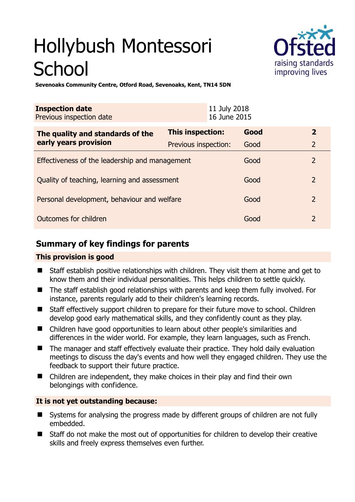# Hollybush Montessori **School**



**Sevenoaks Community Centre, Otford Road, Sevenoaks, Kent, TN14 5DN** 

| <b>Inspection date</b><br>Previous inspection date |                      | 11 July 2018<br>16 June 2015 |      |                |
|----------------------------------------------------|----------------------|------------------------------|------|----------------|
| The quality and standards of the                   | This inspection:     |                              | Good | $\overline{2}$ |
| early years provision                              | Previous inspection: |                              | Good | $\overline{2}$ |
| Effectiveness of the leadership and management     |                      |                              | Good | 2              |
| Quality of teaching, learning and assessment       |                      |                              | Good | $\overline{2}$ |
| Personal development, behaviour and welfare        |                      |                              | Good | $\overline{2}$ |
| Outcomes for children                              |                      |                              | Good | $\mathcal{P}$  |

# **Summary of key findings for parents**

# **This provision is good**

- Staff establish positive relationships with children. They visit them at home and get to know them and their individual personalities. This helps children to settle quickly.
- The staff establish good relationships with parents and keep them fully involved. For instance, parents regularly add to their children's learning records.
- Staff effectively support children to prepare for their future move to school. Children develop good early mathematical skills, and they confidently count as they play.
- Children have good opportunities to learn about other people's similarities and differences in the wider world. For example, they learn languages, such as French.
- The manager and staff effectively evaluate their practice. They hold daily evaluation meetings to discuss the day's events and how well they engaged children. They use the feedback to support their future practice.
- Children are independent, they make choices in their play and find their own belongings with confidence.

# **It is not yet outstanding because:**

- Systems for analysing the progress made by different groups of children are not fully embedded.
- Staff do not make the most out of opportunities for children to develop their creative skills and freely express themselves even further.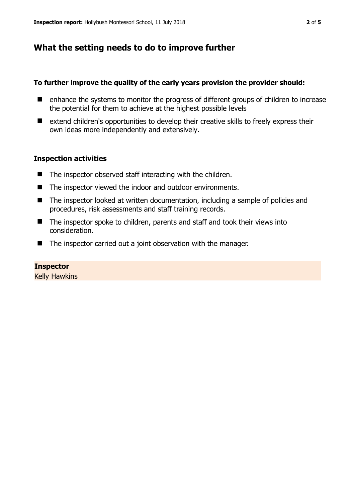# **What the setting needs to do to improve further**

#### **To further improve the quality of the early years provision the provider should:**

- enhance the systems to monitor the progress of different groups of children to increase the potential for them to achieve at the highest possible levels
- extend children's opportunities to develop their creative skills to freely express their own ideas more independently and extensively.

## **Inspection activities**

- The inspector observed staff interacting with the children.
- The inspector viewed the indoor and outdoor environments.
- The inspector looked at written documentation, including a sample of policies and procedures, risk assessments and staff training records.
- The inspector spoke to children, parents and staff and took their views into consideration.
- The inspector carried out a joint observation with the manager.

## **Inspector**

Kelly Hawkins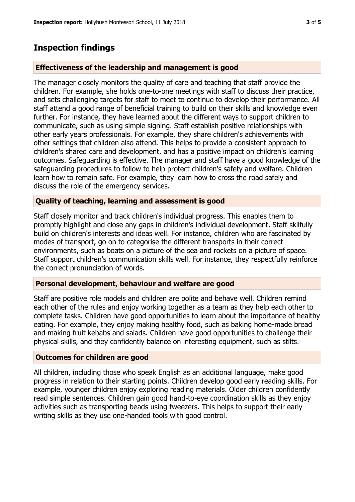# **Inspection findings**

## **Effectiveness of the leadership and management is good**

The manager closely monitors the quality of care and teaching that staff provide the children. For example, she holds one-to-one meetings with staff to discuss their practice, and sets challenging targets for staff to meet to continue to develop their performance. All staff attend a good range of beneficial training to build on their skills and knowledge even further. For instance, they have learned about the different ways to support children to communicate, such as using simple signing. Staff establish positive relationships with other early years professionals. For example, they share children's achievements with other settings that children also attend. This helps to provide a consistent approach to children's shared care and development, and has a positive impact on children's learning outcomes. Safeguarding is effective. The manager and staff have a good knowledge of the safeguarding procedures to follow to help protect children's safety and welfare. Children learn how to remain safe. For example, they learn how to cross the road safely and discuss the role of the emergency services.

## **Quality of teaching, learning and assessment is good**

Staff closely monitor and track children's individual progress. This enables them to promptly highlight and close any gaps in children's individual development. Staff skilfully build on children's interests and ideas well. For instance, children who are fascinated by modes of transport, go on to categorise the different transports in their correct environments, such as boats on a picture of the sea and rockets on a picture of space. Staff support children's communication skills well. For instance, they respectfully reinforce the correct pronunciation of words.

#### **Personal development, behaviour and welfare are good**

Staff are positive role models and children are polite and behave well. Children remind each other of the rules and enjoy working together as a team as they help each other to complete tasks. Children have good opportunities to learn about the importance of healthy eating. For example, they enjoy making healthy food, such as baking home-made bread and making fruit kebabs and salads. Children have good opportunities to challenge their physical skills, and they confidently balance on interesting equipment, such as stilts.

#### **Outcomes for children are good**

All children, including those who speak English as an additional language, make good progress in relation to their starting points. Children develop good early reading skills. For example, younger children enjoy exploring reading materials. Older children confidently read simple sentences. Children gain good hand-to-eye coordination skills as they enjoy activities such as transporting beads using tweezers. This helps to support their early writing skills as they use one-handed tools with good control.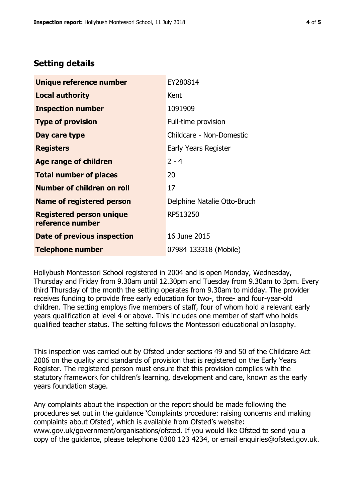# **Setting details**

| Unique reference number                             | EY280814                    |  |  |
|-----------------------------------------------------|-----------------------------|--|--|
| <b>Local authority</b>                              | Kent                        |  |  |
| <b>Inspection number</b>                            | 1091909                     |  |  |
| <b>Type of provision</b>                            | Full-time provision         |  |  |
| Day care type                                       | Childcare - Non-Domestic    |  |  |
| <b>Registers</b>                                    | Early Years Register        |  |  |
| <b>Age range of children</b>                        | $2 - 4$                     |  |  |
| <b>Total number of places</b>                       | 20                          |  |  |
| <b>Number of children on roll</b>                   | 17                          |  |  |
| <b>Name of registered person</b>                    | Delphine Natalie Otto-Bruch |  |  |
| <b>Registered person unique</b><br>reference number | RP513250                    |  |  |
| Date of previous inspection                         | 16 June 2015                |  |  |
| <b>Telephone number</b>                             | 07984 133318 (Mobile)       |  |  |

Hollybush Montessori School registered in 2004 and is open Monday, Wednesday, Thursday and Friday from 9.30am until 12.30pm and Tuesday from 9.30am to 3pm. Every third Thursday of the month the setting operates from 9.30am to midday. The provider receives funding to provide free early education for two-, three- and four-year-old children. The setting employs five members of staff, four of whom hold a relevant early years qualification at level 4 or above. This includes one member of staff who holds qualified teacher status. The setting follows the Montessori educational philosophy.

This inspection was carried out by Ofsted under sections 49 and 50 of the Childcare Act 2006 on the quality and standards of provision that is registered on the Early Years Register. The registered person must ensure that this provision complies with the statutory framework for children's learning, development and care, known as the early years foundation stage.

Any complaints about the inspection or the report should be made following the procedures set out in the guidance 'Complaints procedure: raising concerns and making complaints about Ofsted', which is available from Ofsted's website: www.gov.uk/government/organisations/ofsted. If you would like Ofsted to send you a copy of the guidance, please telephone 0300 123 4234, or email enquiries@ofsted.gov.uk.